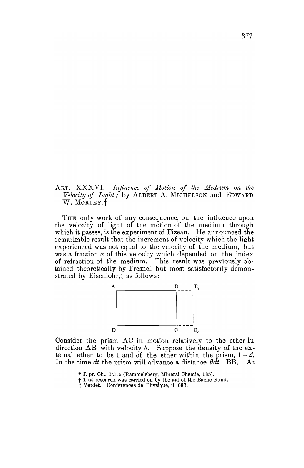ART. XXXVI.-*Influence of Motion of the Medium on the Velocity of Light;* by ALBERT A. MICHELSON and EDWARD W. MORLEY.<sup>+</sup>

THE only work of any consequence, on the influence upon the velocity of light of the motion of the medium through which it passes, is the experiment of Fizeau. He announced the remarkable result that the increment of velocity which the light experienced was not equal to the velocity of the medium, but was a fraction  $x$  of this velocity which depended on the index of refraction of the medium. This result was previously obtained theoretically by Fresnel, but most satisfactorily demonstrated by Eisenlohr,  $\sharp$  as follows:



Consider the prism AC in motion relatively to the ether in direction AB with velocity *0.* Suppose the density of the external ether to be 1 and of the ether within the prism,  $1 + \Delta$ . In the time *dt* the prism will advance a distance  $\theta dt = BB$ , At

\* J. pr. Ch., 1<sup>·</sup>319 (Rammelsberg, Mineral Chemie, 185).<br>† This research was carried on by the aid of the Bache Fund.<br>‡ Verdet. Conferences de Physique, ii, 687.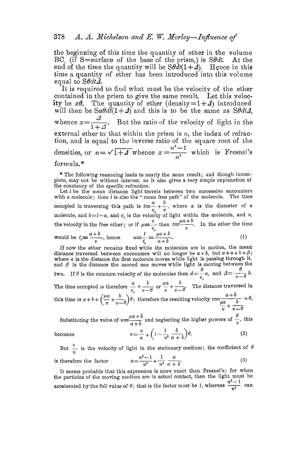the beginning of this time the quantity of ether in the volume BC, (if S=surface of the base of the prism,) is  $S\theta dt$ . At the end of the time the quantity will be  $S\theta dt(1+\hat{A})$ . Hence in this time a quantity of ether has been introduced into this volume equal to  $S\theta dt\tilde{\phi}$ .

It is required to find what must be the velocity of the ether contained in the prism to give the same result. Let this velocity be  $x\theta$ . The quantity of ether (density=1+ $\Delta$ ) introduced will then be  $S \alpha \theta d\bar{t} (1+\Delta)$  and this is to be the same as  $S \theta d\bar{t}$ , whence  $x = \frac{1}{1 + \Delta}$ . But the ratio of the velocity of light in the external ether to that within the prism is  $n$ , the index of refraction, and is equal to the inverse ratio of the square root of the densities, or  $n = \sqrt{1+1}$  whence  $x = \frac{n^2-1}{n^2}$  which is Fresnel's forrnula.\*

\* The following reasoning leads to nearly the same result; and though incomplete, may not be without interest, as it also gives a very simple explanation of the constancy of the specific refraction.

Let  $l$  be the mean distance light travels between two successive encounters with a molecule; then  $l$  is also the "mean free path" of the molecule. The time occupied in traversing this path is  $t=\frac{u}{v}+\frac{v}{v}$ , where *a* is the diameter of a *molecule*, and *b*=*l*-*a*, and *v*, is the velocity of light within the molecule, and *v*, the velocity in the free ether; or if  $\mu=\frac{v}{r}$  then  $t=\frac{\mu a+b}{r}$ . In the ether the time would be  $t = \frac{a+b}{y}$ , hence  $n = \frac{t}{t} = \frac{\mu a+b}{a+b}$ . (1)

If now the ether remains fixed while the molecules are in motion, the mean distance traversed between encounters will no longer be  $a+b$ , but  $a+a+b+ \beta$ ;<br>where a is the distance the first molecule moves while light is passing through it,<br>and  $\beta$  is the distance the second one moves while light is It how the ether remains fixed while the interductes are in motion, the fixed interdependent of the time a is the distance the first molecule moves while light is passing through it, and  $\beta$  is the distance the second on The time occupied is therefore  $\frac{a}{v} + \frac{b}{v-\theta}$  or  $\frac{\mu a}{v} + \frac{b}{v-\theta}$ . The distance traversed in this time is  $a+b+\left(\frac{\mu a}{v}+\frac{b}{v-\theta}\right)\theta$ ; therefore the resulting velocity  $v=\frac{a+b}{\mu a}+\theta$ .

Substituting the value of  $n=\frac{\mu a+b}{a+b}$  and neglecting the higher powers of  $\frac{\theta}{v}$ , this becomes  $v=\frac{v}{n}+\left(1-\frac{1}{n^2}\frac{b}{a+b}\right)\theta$ . (2)

$$
v = \frac{v}{n} + \left(1 - \frac{1}{n^2} \frac{b}{a+b}\right)\theta.
$$
 (2)

But  $\frac{v}{n}$  is the velocity of light in the stationary medium; the coefficient of  $\theta$ is therefore the factor  $x=\frac{n^2-1}{n^2}+\frac{1}{n^2}\frac{a}{a+1}$ (3)

It seems probable that this expression is more exact than Fresnel's; for when the particles of the moving medium are in actual contact, then the light must be  $n^2-1$ accelerated by the full value of  $\theta$ ; that is the factor must be 1, whereas  $\frac{n^2-1}{n^2}$  can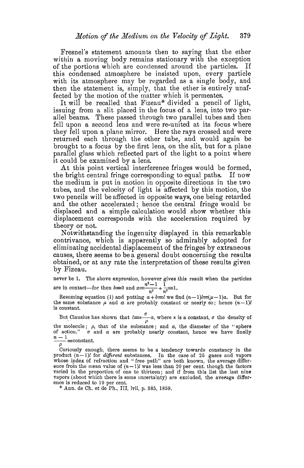Fresnel's statement amounts then to saying that the ether within a moving body remains stationary with the exception of the portions which are condensed around the particles. If this condensed atmosphere be insisted upon, every particle with its atmosphere may be regarded as a single body, and then the statement is, simply, that the ether is entirely unaf· fected by the motion of the matter which it permeates.

It will be recalled that Fizeau\* divided a pencil of light, issuing from a slit placed in the focus of a lens, into two par· allel beams. These passed through two parallel tubes and then fell upon a second lens and were re-united at its focus where they fell upon a plane mirror. Here the rays crossed and were returned each through the other tube, and wouid again be brought to a focus by the first lens, on the slit, but for a plane parallel glass which reflected part of the light to a point where

it could be examined by a lens.<br>At this point vertical interference fringes would be formed, the bright central fringe corresponding to equal paths. If now the medium is put in motion in opposite directions in the two tubes, and the velocity of light is affected by this motion, the two pencils will be affected in opposite ways, one being retarded and the other accelerated; hence the central fringe would be displaced and a simple calculation would show whether this displacement corresponds with the acceleration required by theory or not.

Notwithstanding the ingenuity displayed in this remarkable contrivance, which is apparently so admirably adopted for eliminating accidental displacement of the fringes by extraneous causes, there seems to be a general doubt concerning the results obtained, or at any rate the interpretation of these results given by Fizeau.

never be 1. The above expression, however gives this result when the particles are in contact—for then *b*=0 and  $x=\frac{n^2-1}{n^2}+\frac{1}{n^2}=1$ .

Resuming equation (1) and putting  $a+b=l$  we find  $(n-1)l=(\mu-1)a$ . But for the same substance  $\mu$  and  $\alpha$  are probably constant or nearly so; hence  $(n-1)$ *l* is constant.

But Clausius has shown that  $l = \kappa \frac{\sigma}{\rho} a$ , where  $\kappa$  is a constant,  $\sigma$  the density of the molecule;  $\rho$ , that of the substance; and  $\alpha$ , the diameter of the "sphere of action."  $\sigma$  and  $\alpha$  are probably nearly constant, hence we have finally of action."  $\sigma$  a<br>  $\frac{n-1}{\rho}$  = constant.

 $\overline{\rho}$  -constant.<br>Curiously enough, there seems to be a tendency towards constancy in the<br>product  $(n-1)l$  for *different* substances. In the case of 25 gases and vapors<br>whose index of refraction and "free path" are both ence from the mean value of  $(n-1)l$  was less than 20 per cent. though the factors varied in the proportion of one to thirteen; and if from this list the last nine vapors (about which there is some uncertainty) are excluded, the average difference is reduced to 10 per cent.<br>\* Ann. de Ch. et de Ph., III, lvii, p. 385, 1859.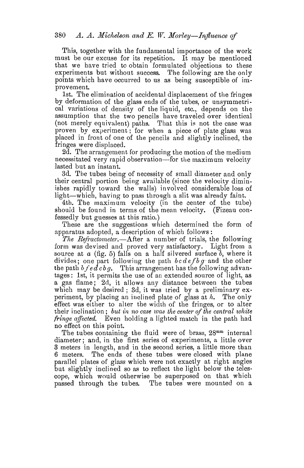This, together with the fundamental importance of the work must be our excuse for its repetition. It may be mentioned that we have tried to obtain formulated objections to these experiments but without success. The following are the only points which have occurred to us as being susceptible of im· provement.

1st. The elimination of accidental displacement of the fringes by deformation of the glass ends of the tubes, or unsymmetrical variations of density of the liquid, etc., depends on the assumption that the two pencils have traveled over identical (not merely equivalent) paths. That this is not the case was proven by experiment; for when a piece of plate glass was placed in front of one of the pencils and slightly inclined, the fringes were displaced.

2d. The arrangement for producing the motion of the medium necessitated very rapid observation—for the maximum velocity lasted but an instant.

3d. The tubes being of necessity of small diameter and only their central portion being available (since the velocity diminishes rapidly toward the walls) involved considerable loss of light-which, having to pass through a slit was already faint.

4th. The maximum velocity (in the center of the tube) should be found in terms of the mean velocity. (Fizeau confessedly but guesses at this ratio.)

These are the suggestions which determined the form of apparatus adopted, a description of which follows:

*The Refractometer.*—After a number of trials, the following form was devised and proved very satisfactory. Light from a source at a (fig. 5) falls on a half silvered surface  $\bar{b}$ , where it divides; one part following the path *bcdefbg'and* the other the path *bf edcb g.* This arrangement has the following advan· tages: 1st, it permits the use of an extended source of light, as a gas flame; 2d, it allows any distance between the tubes which may be desired; 3d, it was tried by a preliminary experiment, by placing an inclined plate of glass at *h.* The only effect was either to alter the width of the fringes, or to alter their inclination; *but in no case was the center* of *the central white fringe affected.* Even holding a lighted match in the path had no effect on this point.

The tubes containing the fluid were of brass,  $28<sup>mm</sup>$  internal diameter; and, in the first series of experiments, a little over 3 meters in length, and in the second series, a little more than 6 meters. The ends of these tubes were closed with plane parallel plates of glass which were not exactly at right angles but slightly inclined so as to reflect the light below the telescope, which would otherwise be superposed on that which passed through the tubes. The tubes were mounted on a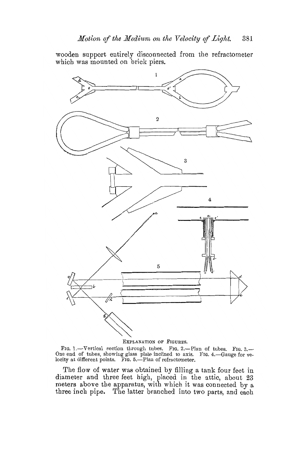wooden support entirel,Y disconnected from the refractometer ooden support entirely disconnected



## EXPLANATION OF FIGURES.

FIG. 1.-Vertical section through tubes. FIG. 2.-Plan of tubes. FIG. 3.-One end of tubes, showing glass plate inclined to axis. FIG. 4.—Gauge for ve-<br>locity at different points. FIG. 5.—Plan of refractometer.

to the flow of water was obtained by filling a tank four feet in the four feet in the four feet in the four feet in the four feet in the four feet in the four feet in the four feet in the four feet in the four feet in the diameter and the attice feet highmameter and three leet high, placed in the attic, about  $23$ neters above the apparatus, with which it was connected by a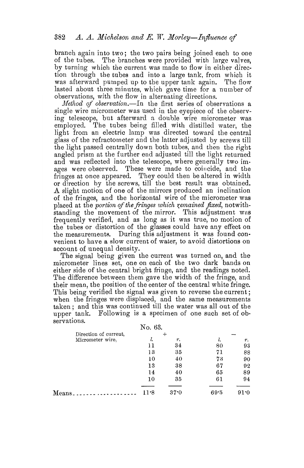branch again into two; the two pairs being joined each to one of the tubes. The branches were provided with large valves, by turning which the current was made to flow in either direction through the tubes and into a large tank, from which it was afterward pumped up to the upper tank again. The flow lasted about three minntes, which gave time for a number of observations, with the flow in alternating directions.

*Method of observation.*—In the first series of observations a single wire micrometer was used in the eyepiece of the observing telescope, but afterward a double wire micrometer was employed. The tubes being filled with distilled water, the light from an electric lamp was directed toward the central glass of the refractometer and the latter adjusted by screws till the light passed centrally down both tubes, and then the right angled prism at the further end adjusted till the light returned and was reflected into the telescope, where generally two im· ages were observed. These were made to coincide, and the fringes at once appeared. They could then be altered in width or direction by the screws, till the best result was obtained. A slight motion of one of the mirrors produced an inclination of the fringes, and the horizontal wire of the micrometer was placed at the *portion of the fringes which remained fixed*, notwithstanding the movement of the mirror. This adjustment was frequently verified, and as long as it was true, no motion of the tubes or distortion of the glasses could have any effect on the measurements. During this adjustment it was found convenient to have a slow current of water, to avoid distortions on account of unequal density.

The signal being given the current was turned on, and the micrometer lines set, one on each of the two dark bands on either side of the central bright fringe, and the readings noted. The difference between them gave the width of the fringe, and their mean, the position of the center of the central white fringe. This being verified the signal was given to reverse the current; when the fringes were displaced, and the same measurements taken; and this was continued till the water was all out of the upper tank. Following is a specimen of one such set of ob· servations.

|                       | No. 63. |        |      |      |
|-----------------------|---------|--------|------|------|
| Direction of current, |         | $\div$ |      |      |
| Micrometer wire,      | l.      | $r$ .  | l.   | r.   |
|                       | 11      | 34     | 80   | 93   |
|                       | 13      | 35     | 71   | 88   |
|                       | 10      | 40     | 73   | 90   |
|                       | 13      | 38     | 67   | 92   |
|                       | 14      | 40     | 65   | 89   |
|                       | 10      | 35     | 61   | 94   |
|                       |         |        |      |      |
| Means                 | 11.8    | 37.0   | 69.5 | 91:0 |
|                       |         |        |      |      |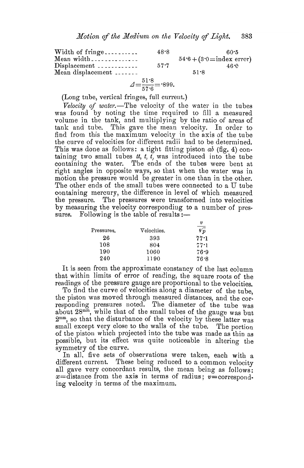| Width of fringe       | 48.8 | 60.5                          |
|-----------------------|------|-------------------------------|
| Mean width            |      | $54.6 + (3.0)$ = index error) |
| Displacement $\ldots$ | 57.7 | 46.0                          |
| Mean displacement     |      | 51.8                          |
|                       |      |                               |

$$
\mathcal{A} = \frac{51 \cdot 8}{57 \cdot 6} = 899.
$$

(Long tube, vertical fringes, full current.)

*Velocity of waier.-The* velocity of the water in the tubes was found by noting the time required to fill a measured volume in the tank, and multiplying by the ratio of areas of tank and tube. This gave the mean velocity. In order to find from this the maximum velocity in the axis of the tube the curve of velocities for different radii had to be determined. This was done as follows: a tight fitting piston *ab* (fig. 4) containing two small tubes  $t, t, t, \tilde{t}$ , was introduced into the tube containing the water. The ends of the tubes were bent at right angles in opposite ways, so that when the water was in motion the pressure would be greater in one than in the other, The other ends of the small tubes were connected to a U tube containing mercury, the difference in level of which measured the pressure. The pressures were transformed into velocities by measuring the velocity corresponding to a number of pressures. Following is the table of results :-

|            |             | υ          |
|------------|-------------|------------|
| Pressures. | Velocities. | $\sqrt{p}$ |
| 26         | 393         | 77.1       |
| 108        | 804         | 771        |
| 190        | 1060        | 76.9       |
| 240        | 1190        | 76.8       |

It is seen from the approximate constancy of the last column that within limits of error of reading, the square roots of the readings of the pressure gauge are proportional to the velocities,

To find the curve of velocities along a diameter of the tube the piston was moved through measured distances, and the corresponding pressures noted, The diameter of the tube was about 28mm, while that of the small tubes of the gauge was but  $2<sup>mm</sup>$ , so that the disturbance of the velocity by these latter was small except very close to the walls of the tube. The portion of the piston which projected into the tube was made as thin as possible, but its effect was quite noticeable in altering the symmetry of the curve.

In all, five sets of observations were taken, each with a different current. These being reduced to a common velocity all gave very concordant results, the mean being as follows:  $x=$ distance from the axis in terms of radius;  $v=$ corresponding velocity in terms of the maximum.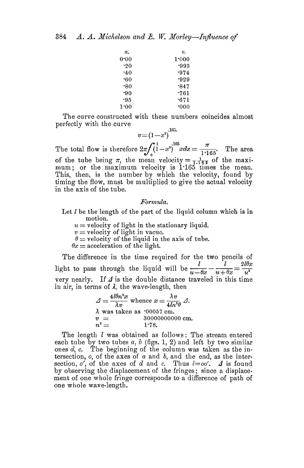| x.   | υ.          |
|------|-------------|
| 0.00 | 1:000       |
| .20  | .993        |
| ۰40  | .974        |
| .60  | .929        |
| 80'  | .847        |
| ۰90  | $\cdot 761$ |
| .95  | ·671        |
| 1:00 | $\cdot$ 000 |

The curve constructed with these numbers coincides almost perfectly with the curve

$$
v = (1 - x^2)^{165}
$$

 $v = (1-x^2)$ <br>The total flow is therefore  $2\pi \int (1-x^2)^{165} x dx = \frac{\pi}{1.165}$ . The area of the tube being  $\pi$ , the mean velocity =  $\frac{1}{1165}$  of the maximum; or the maximum velocity is  $1.165$  times the mean. This, then, is the number by which the velocity, found by timing the flow, must be multiplied to give the actual velocity in the axis of the tube.

## 1.formula.

Let *l* be the length of the part of the liquid column which is in motion.

 $u =$  velocity of light in the stationary liquid.

 $v =$  velocity of light in vacuo.

 $\theta =$  velocity of the liquid in the axis of tube.<br> $\theta x =$  acceleration of the light.

The difference in the time required for the two pencils of light to pass through the liquid will be  $\frac{l}{u - \theta x} - \frac{l}{u + \theta x} = \frac{2l\theta x}{u^2}$ very nearly. If  $\Delta$  is the double distance traveled in this time

in air, in terms of 
$$
\lambda
$$
, the wave-length, then  
\n
$$
\mathcal{A} = \frac{4l\theta n^2 x}{\lambda v} \text{ whence } x = \frac{\lambda v}{4\lambda n^2 \theta} \mathcal{A}.
$$
\n
$$
\lambda \text{ was taken as '00057 cm.}
$$
\n
$$
v = 3000000000 \text{ cm.}
$$
\n
$$
n^2 = 1.78.
$$

The length *l* was obtained as follows: The stream entered each tube by two tubes  $a, b$  (figs. 1, 2) and left by two similar ones  $d$ ,  $c$ . The beginning of the column was taken as the intersection, *0,* of the axes of *a* and b, and the end, as the intersection,  $o'$ , of the axes of *d* and *c*. Thus  $l = oo'$ .  $\Delta$  is found by observing the displacement of the fringes; since a displace. ment of one whole fringe corresponds to a difference of path of one whole wave-length.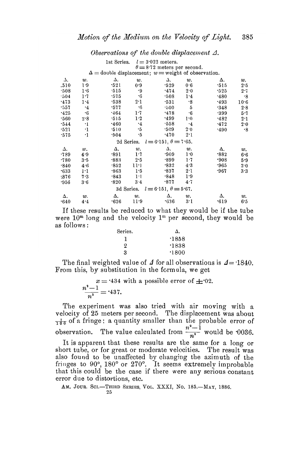*Observations of the double displacement £1.* 

|                                           |           | 1st Series. |                | $l = 3.022$ meters.                                          |             |             |               |
|-------------------------------------------|-----------|-------------|----------------|--------------------------------------------------------------|-------------|-------------|---------------|
|                                           |           |             |                | $\theta = 8.72$ meters per second.                           |             |             |               |
|                                           |           |             |                | $\Delta =$ double displacement; $w =$ weight of observation. |             |             |               |
| Δ.                                        | $w$ .     | Δ.          | $w$ .          | Δ.                                                           | w.          | Δ.          | w.            |
| .510                                      | 1.9       | $-521$      | 0.9            | .529                                                         | 0.6         | $\cdot 515$ | 2.5           |
| .508                                      | 1.6       | $-515$      | ٠9             | .474                                                         | 2.0         | .525        | 2.7           |
| .504                                      | 1.7       | .575        | $\cdot 6$      | .508                                                         | 1.4         | .480        | $\cdot$ 8     |
| .473                                      | 1.4       | $-538$      | $2 \cdot 1$    | $-531$                                                       | ۰s          | .493        | 10.6          |
| .557                                      | $\cdot 4$ | .577        | $\cdot 6$      | .500                                                         | 5           | .348        | 2.8           |
| .425                                      | $\cdot 6$ | .164        | 1.7            | .478                                                         | $\cdot 6$   | .399        | 5.7           |
| .560                                      | 2.8       | .515        | 1.2            | .499                                                         | 1.0         | .482        | 2.1           |
| .544                                      | $\cdot_1$ | .460        | $\cdot_4$      | .558                                                         | $\cdot$ 4   | $-472$      | 2.0           |
| .521                                      | ٠1        | .510        | .5             | .509                                                         | 2.0         | .490        | ۰8            |
| .575                                      | ٠1        | .504        | ٠5             | .470                                                         | $2 \cdot 1$ |             |               |
| $l = 6.151, \theta = 7.65.$<br>2d Series. |           |             |                |                                                              |             |             |               |
| Δ.                                        | $w$ .     | Δ.          | $w$ .          | Δ.                                                           | $w$ .       | Δ.          | $w_{\bullet}$ |
| .789                                      | 4.9       | .891        | 1.7            | .909                                                         | 1.0         | .882        | 6.6           |
| .780                                      | 3.5       | .883        | 2.5            | .899                                                         | 1.7         | .908        | 5.9           |
| .840                                      | 4.6       | $-852$      | 11:1           | .832                                                         | 4.3         | .965        | 2.0           |
| .633                                      | $1-1$     | .863        | 1.5            | .837                                                         | $2 - 1$     | .967        | 3.3           |
| : 876                                     | 7.3       | .843        | 1 <sup>1</sup> | .848                                                         | 1.9         |             |               |
| $-956$                                    | 3.6       | $\cdot 820$ | 3.4            | .877                                                         | 4.7         |             |               |
| $l = 6.151, \theta = 5.67.$<br>3d Series. |           |             |                |                                                              |             |             |               |
| Δ.                                        | $w$ .     | Δ.          | $w$ .          | Δ.                                                           | w.          | Δ.          | $w$ .         |
| .640                                      | 4.4       | .626        | 11.9           | .636                                                         | 3·1         | .619        | 6.5           |

If these results be reduced to what they would be if the tube were  $10^{\mathrm{m}}$  long and the velocity  $1^{\mathrm{m}}$  per second, they would be as follows:

| Series. |       |
|---------|-------|
|         | .1858 |
| 9       | .1838 |
| я       | .1800 |

The final weighted value of  $\Lambda$  for all observations is  $\Lambda = 1840$ . From this, by substitution in the formula, we get

> $x = 434$  with a possible error of  $\pm 02$ .  $\frac{n^2-1}{n^2} = 437.$

The experiment was also tried with air moving with a velocity of 25 meters per second. The displacement was about velocity of 25 meters per second. The displacement was about  $\frac{1}{100}$  of a fringe; a quantity smaller than the probable error of observation. The value calculated from  $\frac{n^2-1}{n^2}$  would be '0036.

It is apparent that these results are the same for a long or short tube, or for great or moderate velocities. The result was also found to be unaffected by changing the azimuth of the fringes to 90°, 180° or 270°. It seems extremely improbable that this could be the case if there were any serious constant error due to distortions, etc.

AM. JOUR. SCI.-THIRD SERIES, VOL. XXXI, No. 185.-MAY, 1886.